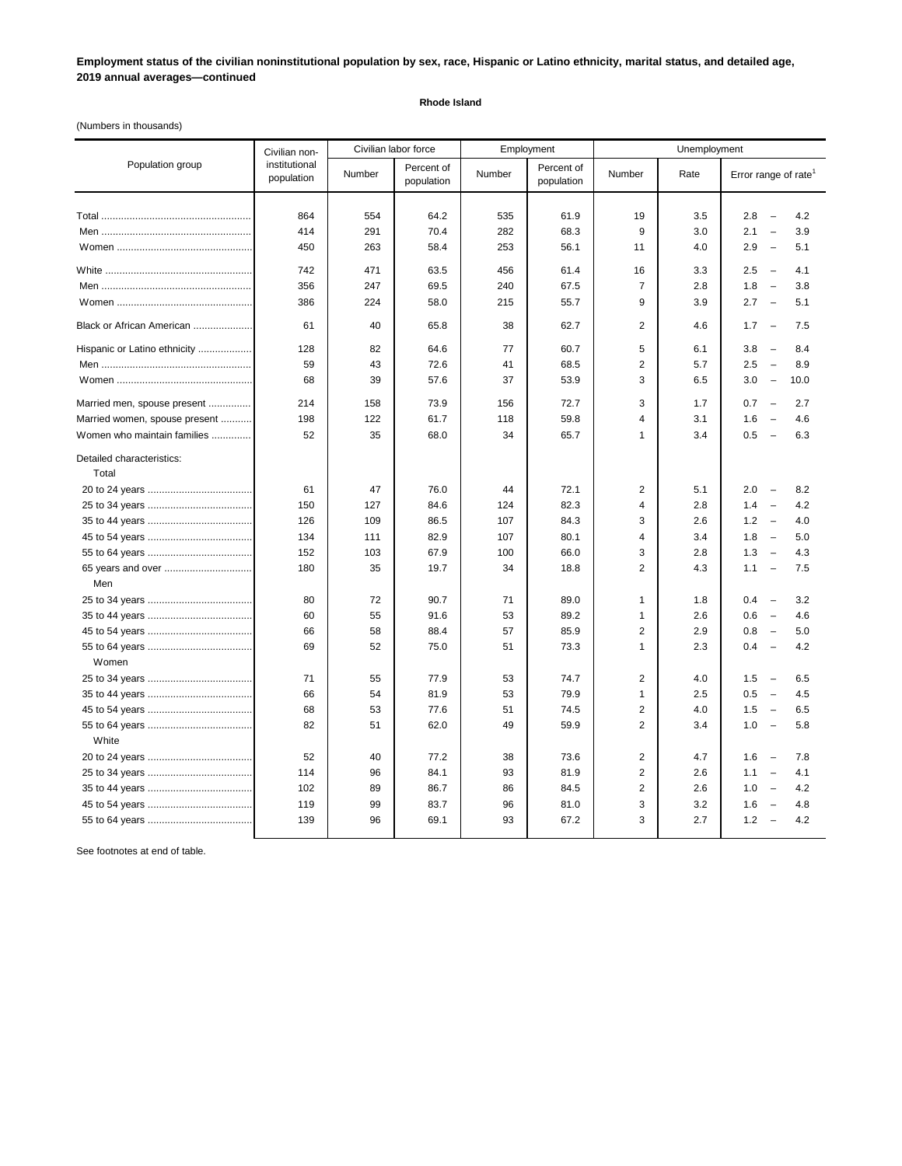## **Employment status of the civilian noninstitutional population by sex, race, Hispanic or Latino ethnicity, marital status, and detailed age, 2019 annual averages—continued**

## **Rhode Island**

(Numbers in thousands)

| Population group                                                                            | Civilian non-<br>institutional<br>population | Civilian labor force       |                                      | Employment                 |                                      | Unemployment                                                 |                                 |                                                                                                                                                                                                         |
|---------------------------------------------------------------------------------------------|----------------------------------------------|----------------------------|--------------------------------------|----------------------------|--------------------------------------|--------------------------------------------------------------|---------------------------------|---------------------------------------------------------------------------------------------------------------------------------------------------------------------------------------------------------|
|                                                                                             |                                              | Number                     | Percent of<br>population             | Number                     | Percent of<br>population             | Number                                                       | Rate                            | Error range of rate <sup>1</sup>                                                                                                                                                                        |
|                                                                                             | 864<br>414<br>450                            | 554<br>291<br>263          | 64.2<br>70.4<br>58.4                 | 535<br>282<br>253          | 61.9<br>68.3<br>56.1                 | 19<br>9<br>11                                                | 3.5<br>3.0<br>4.0               | 2.8<br>$\overline{a}$<br>4.2<br>2.1<br>3.9<br>$\overline{\phantom{a}}$<br>2.9<br>5.1<br>$\overline{\phantom{0}}$                                                                                        |
|                                                                                             | 742<br>356<br>386                            | 471<br>247<br>224          | 63.5<br>69.5<br>58.0                 | 456<br>240<br>215          | 61.4<br>67.5<br>55.7                 | 16<br>$\overline{7}$<br>9                                    | 3.3<br>2.8<br>3.9               | 2.5<br>4.1<br>$\overline{\phantom{a}}$<br>1.8<br>$\overline{a}$<br>3.8<br>2.7<br>$\overline{\phantom{a}}$<br>5.1                                                                                        |
| Black or African American                                                                   | 61                                           | 40                         | 65.8                                 | 38                         | 62.7                                 | 2                                                            | 4.6                             | 1.7<br>$\overline{\phantom{a}}$<br>7.5                                                                                                                                                                  |
| Hispanic or Latino ethnicity                                                                | 128<br>59<br>68                              | 82<br>43<br>39             | 64.6<br>72.6<br>57.6                 | 77<br>41<br>37             | 60.7<br>68.5<br>53.9                 | 5<br>$\overline{2}$<br>3                                     | 6.1<br>5.7<br>6.5               | 3.8<br>8.4<br>$\overline{\phantom{0}}$<br>2.5<br>8.9<br>$\overline{\phantom{0}}$<br>3.0<br>$\overline{\phantom{a}}$<br>10.0                                                                             |
| Married men, spouse present<br>Married women, spouse present<br>Women who maintain families | 214<br>198<br>52                             | 158<br>122<br>35           | 73.9<br>61.7<br>68.0                 | 156<br>118<br>34           | 72.7<br>59.8<br>65.7                 | 3<br>4<br>1                                                  | 1.7<br>3.1<br>3.4               | 0.7<br>2.7<br>$\overline{\phantom{a}}$<br>1.6<br>4.6<br>$\overline{\phantom{a}}$<br>0.5<br>6.3<br>$\overline{\phantom{a}}$                                                                              |
| Detailed characteristics:<br>Total                                                          | 61                                           | 47                         | 76.0                                 | 44                         | 72.1                                 | $\overline{\mathbf{c}}$                                      | 5.1                             | 2.0<br>8.2<br>$\overline{\phantom{a}}$                                                                                                                                                                  |
|                                                                                             | 150<br>126                                   | 127<br>109                 | 84.6<br>86.5                         | 124<br>107                 | 82.3<br>84.3                         | 4<br>3                                                       | 2.8<br>2.6                      | 1.4<br>4.2<br>$\overline{\phantom{a}}$<br>1.2<br>4.0<br>$\overline{\phantom{a}}$                                                                                                                        |
| 65 years and over<br>Men                                                                    | 134<br>152<br>180                            | 111<br>103<br>35           | 82.9<br>67.9<br>19.7                 | 107<br>100<br>34           | 80.1<br>66.0<br>18.8                 | 4<br>3<br>$\overline{2}$                                     | 3.4<br>2.8<br>4.3               | 1.8<br>5.0<br>$\overline{\phantom{a}}$<br>1.3<br>4.3<br>$\overline{\phantom{a}}$<br>1.1<br>7.5<br>$\overline{\phantom{0}}$                                                                              |
|                                                                                             | 80<br>60<br>66<br>69                         | 72<br>55<br>58<br>52       | 90.7<br>91.6<br>88.4<br>75.0         | 71<br>53<br>57<br>51       | 89.0<br>89.2<br>85.9<br>73.3         | 1<br>1<br>2<br>1                                             | 1.8<br>2.6<br>2.9<br>2.3        | 0.4<br>$\overline{\phantom{a}}$<br>3.2<br>0.6<br>4.6<br>$\overline{\phantom{0}}$<br>0.8<br>5.0<br>$\overline{\phantom{0}}$<br>0.4<br>4.2<br>$\overline{\phantom{0}}$                                    |
| Women                                                                                       | 71<br>66<br>68<br>82                         | 55<br>54<br>53<br>51       | 77.9<br>81.9<br>77.6<br>62.0         | 53<br>53<br>51<br>49       | 74.7<br>79.9<br>74.5<br>59.9         | $\overline{2}$<br>1<br>$\overline{2}$<br>$\overline{2}$      | 4.0<br>2.5<br>4.0<br>3.4        | 1.5<br>6.5<br>$\sim$<br>0.5<br>$\overline{\phantom{a}}$<br>4.5<br>1.5<br>6.5<br>$\overline{\phantom{a}}$<br>1.0<br>5.8<br>$\overline{\phantom{m}}$                                                      |
| White                                                                                       | 52<br>114<br>102<br>119<br>139               | 40<br>96<br>89<br>99<br>96 | 77.2<br>84.1<br>86.7<br>83.7<br>69.1 | 38<br>93<br>86<br>96<br>93 | 73.6<br>81.9<br>84.5<br>81.0<br>67.2 | $\overline{2}$<br>$\overline{2}$<br>$\overline{2}$<br>3<br>3 | 4.7<br>2.6<br>2.6<br>3.2<br>2.7 | 1.6<br>7.8<br>$\overline{\phantom{a}}$<br>1.1<br>$\qquad \qquad -$<br>4.1<br>1.0<br>4.2<br>$\overline{\phantom{m}}$<br>1.6<br>4.8<br>$\overline{\phantom{a}}$<br>1.2<br>4.2<br>$\overline{\phantom{a}}$ |

See footnotes at end of table.